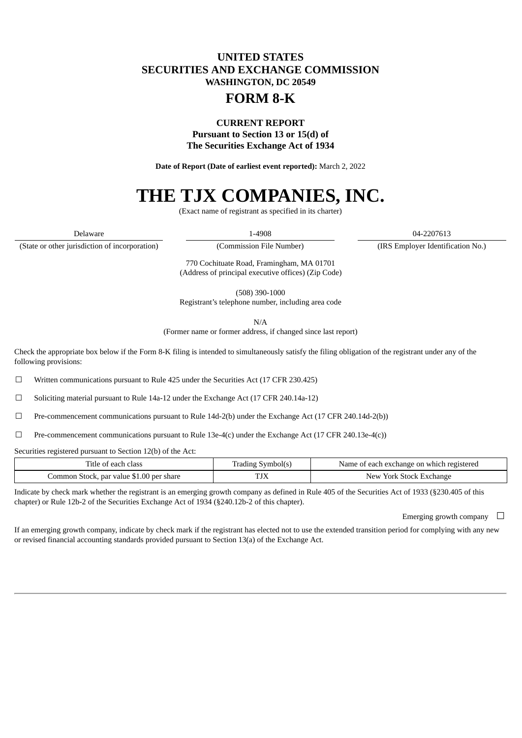## **UNITED STATES SECURITIES AND EXCHANGE COMMISSION WASHINGTON, DC 20549**

## **FORM 8-K**

### **CURRENT REPORT Pursuant to Section 13 or 15(d) of The Securities Exchange Act of 1934**

**Date of Report (Date of earliest event reported):** March 2, 2022

# **THE TJX COMPANIES, INC.**

(Exact name of registrant as specified in its charter)

Delaware 1-4908 04-2207613

(State or other jurisdiction of incorporation) (Commission File Number) (IRS Employer Identification No.)

770 Cochituate Road, Framingham, MA 01701 (Address of principal executive offices) (Zip Code)

(508) 390-1000 Registrant's telephone number, including area code

N/A

(Former name or former address, if changed since last report)

Check the appropriate box below if the Form 8-K filing is intended to simultaneously satisfy the filing obligation of the registrant under any of the following provisions:

 $\Box$  Written communications pursuant to Rule 425 under the Securities Act (17 CFR 230.425)

 $\Box$  Soliciting material pursuant to Rule 14a-12 under the Exchange Act (17 CFR 240.14a-12)

 $\Box$  Pre-commencement communications pursuant to Rule 14d-2(b) under the Exchange Act (17 CFR 240.14d-2(b))

☐ Pre-commencement communications pursuant to Rule 13e-4(c) under the Exchange Act (17 CFR 240.13e-4(c))

Securities registered pursuant to Section 12(b) of the Act:

| Title of each class                      | Symbol(s)<br>Tradıng | Name of each exchange on which registered |
|------------------------------------------|----------------------|-------------------------------------------|
| Common Stock, par value \$1.00 per share | TTIZ<br>⊥JΛ          | New York Stock Exchange                   |

Indicate by check mark whether the registrant is an emerging growth company as defined in Rule 405 of the Securities Act of 1933 (§230.405 of this chapter) or Rule 12b-2 of the Securities Exchange Act of 1934 (§240.12b-2 of this chapter).

Emerging growth company  $\Box$ 

If an emerging growth company, indicate by check mark if the registrant has elected not to use the extended transition period for complying with any new or revised financial accounting standards provided pursuant to Section 13(a) of the Exchange Act.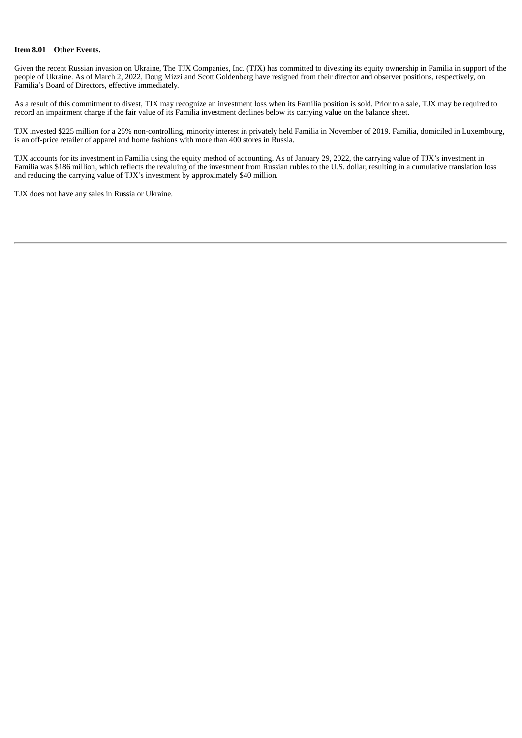#### **Item 8.01 Other Events.**

Given the recent Russian invasion on Ukraine, The TJX Companies, Inc. (TJX) has committed to divesting its equity ownership in Familia in support of the people of Ukraine. As of March 2, 2022, Doug Mizzi and Scott Goldenberg have resigned from their director and observer positions, respectively, on Familia's Board of Directors, effective immediately.

As a result of this commitment to divest, TJX may recognize an investment loss when its Familia position is sold. Prior to a sale, TJX may be required to record an impairment charge if the fair value of its Familia investment declines below its carrying value on the balance sheet.

TJX invested \$225 million for a 25% non-controlling, minority interest in privately held Familia in November of 2019. Familia, domiciled in Luxembourg, is an off-price retailer of apparel and home fashions with more than 400 stores in Russia.

TJX accounts for its investment in Familia using the equity method of accounting. As of January 29, 2022, the carrying value of TJX's investment in Familia was \$186 million, which reflects the revaluing of the investment from Russian rubles to the U.S. dollar, resulting in a cumulative translation loss and reducing the carrying value of TJX's investment by approximately \$40 million.

TJX does not have any sales in Russia or Ukraine.